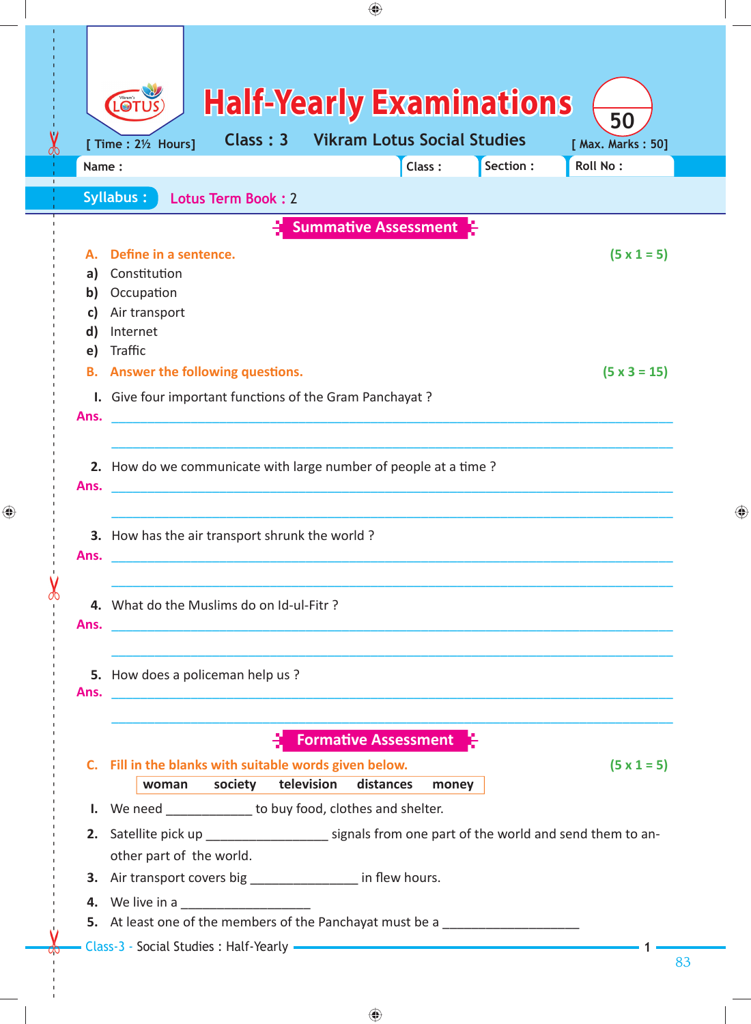|                                                                                  |                                                                                  |                                                                                                                                                                                                                                                                            | ♠                                         |                                    |           |                                                                                                       |
|----------------------------------------------------------------------------------|----------------------------------------------------------------------------------|----------------------------------------------------------------------------------------------------------------------------------------------------------------------------------------------------------------------------------------------------------------------------|-------------------------------------------|------------------------------------|-----------|-------------------------------------------------------------------------------------------------------|
|                                                                                  | LOT<br>[ Time : 21/2 Hours]                                                      | <b>Half-Yearly Examinations</b><br>Class: 3                                                                                                                                                                                                                                |                                           | <b>Vikram Lotus Social Studies</b> |           | 50<br>[ Max. Marks: 50]                                                                               |
| Name:                                                                            |                                                                                  |                                                                                                                                                                                                                                                                            |                                           | Class:                             | Section : | Roll No:                                                                                              |
|                                                                                  | <b>Syllabus:</b>                                                                 | Lotus Term Book: 2                                                                                                                                                                                                                                                         |                                           |                                    |           |                                                                                                       |
|                                                                                  |                                                                                  |                                                                                                                                                                                                                                                                            | <b>Summative Assessment</b>               |                                    |           |                                                                                                       |
| a)<br>b)<br>C)<br>$\mathsf{d}$                                                   | Define in a sentence.<br>Constitution<br>Occupation<br>Air transport<br>Internet |                                                                                                                                                                                                                                                                            |                                           |                                    |           | $(5 \times 1 = 5)$                                                                                    |
| e)<br>Ans.                                                                       | Traffic                                                                          | <b>B.</b> Answer the following questions.<br>I. Give four important functions of the Gram Panchayat ?                                                                                                                                                                      |                                           |                                    |           | $(5 \times 3 = 15)$                                                                                   |
| Ans.                                                                             | 2. How do we communicate with large number of people at a time?                  |                                                                                                                                                                                                                                                                            |                                           |                                    |           |                                                                                                       |
| Ans.                                                                             | 3. How has the air transport shrunk the world?                                   |                                                                                                                                                                                                                                                                            |                                           |                                    |           |                                                                                                       |
|                                                                                  |                                                                                  | 4. What do the Muslims do on Id-ul-Fitr?<br>Ans. The contract of the contract of the contract of the contract of the contract of the contract of the contract of the contract of the contract of the contract of the contract of the contract of the contract of the contr |                                           |                                    |           |                                                                                                       |
|                                                                                  | 5. How does a policeman help us?                                                 |                                                                                                                                                                                                                                                                            |                                           |                                    |           |                                                                                                       |
|                                                                                  | woman                                                                            | C. Fill in the blanks with suitable words given below.<br>society                                                                                                                                                                                                          | <b>Formative Assessment</b><br>television | distances<br>money                 |           | $(5 \times 1 = 5)$                                                                                    |
|                                                                                  |                                                                                  | I. We need ______________ to buy food, clothes and shelter.                                                                                                                                                                                                                |                                           |                                    |           |                                                                                                       |
|                                                                                  | other part of the world.                                                         |                                                                                                                                                                                                                                                                            |                                           |                                    |           | 2. Satellite pick up ________________________ signals from one part of the world and send them to an- |
|                                                                                  |                                                                                  | 3. Air transport covers big _______________ in flew hours.                                                                                                                                                                                                                 |                                           |                                    |           |                                                                                                       |
| 5. At least one of the members of the Panchayat must be a ______________________ |                                                                                  |                                                                                                                                                                                                                                                                            |                                           |                                    |           |                                                                                                       |

 $\bigoplus$